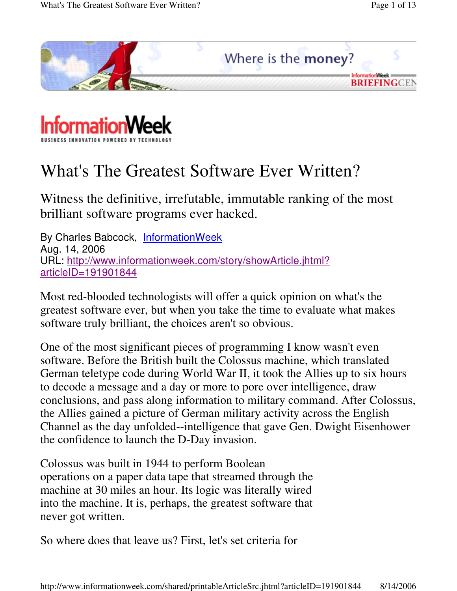



# What's The Greatest Software Ever Written?

Witness the definitive, irrefutable, immutable ranking of the most brilliant software programs ever hacked.

By Charles Babcock, InformationWeek Aug. 14, 2006 URL: http://www.informationweek.com/story/showArticle.jhtml? articleID=191901844

Most red-blooded technologists will offer a quick opinion on what's the greatest software ever, but when you take the time to evaluate what makes software truly brilliant, the choices aren't so obvious.

One of the most significant pieces of programming I know wasn't even software. Before the British built the Colossus machine, which translated German teletype code during World War II, it took the Allies up to six hours to decode a message and a day or more to pore over intelligence, draw conclusions, and pass along information to military command. After Colossus, the Allies gained a picture of German military activity across the English Channel as the day unfolded--intelligence that gave Gen. Dwight Eisenhower the confidence to launch the D-Day invasion.

Colossus was built in 1944 to perform Boolean operations on a paper data tape that streamed through the machine at 30 miles an hour. Its logic was literally wired into the machine. It is, perhaps, the greatest software that never got written.

So where does that leave us? First, let's set criteria for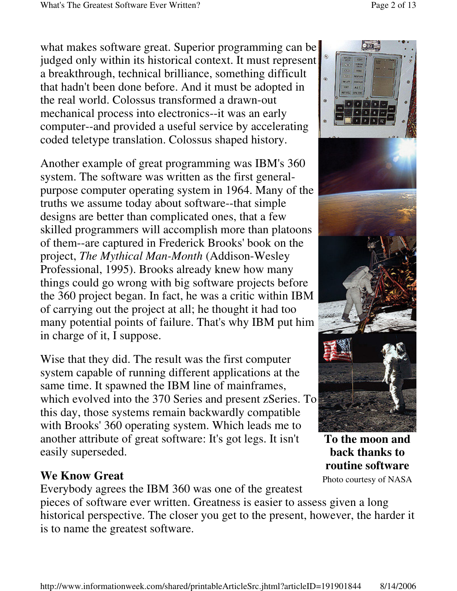what makes software great. Superior programming can be judged only within its historical context. It must represent a breakthrough, technical brilliance, something difficult that hadn't been done before. And it must be adopted in the real world. Colossus transformed a drawn-out mechanical process into electronics--it was an early computer--and provided a useful service by accelerating coded teletype translation. Colossus shaped history.

Another example of great programming was IBM's 360 system. The software was written as the first generalpurpose computer operating system in 1964. Many of the truths we assume today about software--that simple designs are better than complicated ones, that a few skilled programmers will accomplish more than platoons of them--are captured in Frederick Brooks' book on the project, *The Mythical Man-Month* (Addison-Wesley Professional, 1995). Brooks already knew how many things could go wrong with big software projects before the 360 project began. In fact, he was a critic within IBM of carrying out the project at all; he thought it had too many potential points of failure. That's why IBM put him in charge of it, I suppose.

Wise that they did. The result was the first computer system capable of running different applications at the same time. It spawned the IBM line of mainframes, which evolved into the 370 Series and present zSeries. To this day, those systems remain backwardly compatible with Brooks' 360 operating system. Which leads me to another attribute of great software: It's got legs. It isn't easily superseded.

#### **We Know Great**

Everybody agrees the IBM 360 was one of the greatest

pieces of software ever written. Greatness is easier to assess given a long historical perspective. The closer you get to the present, however, the harder it is to name the greatest software.





Photo courtesy of NASA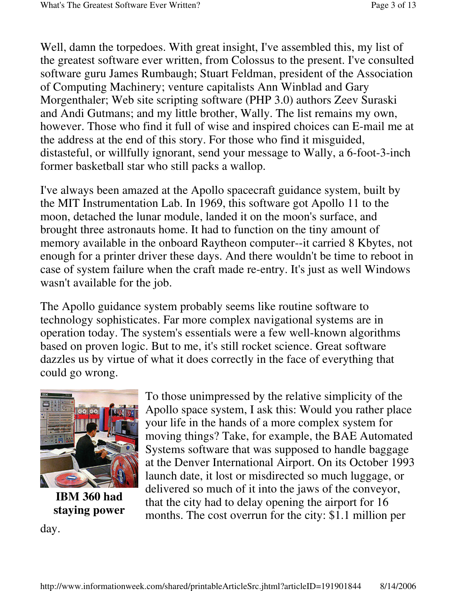Well, damn the torpedoes. With great insight, I've assembled this, my list of the greatest software ever written, from Colossus to the present. I've consulted software guru James Rumbaugh; Stuart Feldman, president of the Association of Computing Machinery; venture capitalists Ann Winblad and Gary Morgenthaler; Web site scripting software (PHP 3.0) authors Zeev Suraski and Andi Gutmans; and my little brother, Wally. The list remains my own, however. Those who find it full of wise and inspired choices can E-mail me at the address at the end of this story. For those who find it misguided, distasteful, or willfully ignorant, send your message to Wally, a 6-foot-3-inch former basketball star who still packs a wallop.

I've always been amazed at the Apollo spacecraft guidance system, built by the MIT Instrumentation Lab. In 1969, this software got Apollo 11 to the moon, detached the lunar module, landed it on the moon's surface, and brought three astronauts home. It had to function on the tiny amount of memory available in the onboard Raytheon computer--it carried 8 Kbytes, not enough for a printer driver these days. And there wouldn't be time to reboot in case of system failure when the craft made re-entry. It's just as well Windows wasn't available for the job.

The Apollo guidance system probably seems like routine software to technology sophisticates. Far more complex navigational systems are in operation today. The system's essentials were a few well-known algorithms based on proven logic. But to me, it's still rocket science. Great software dazzles us by virtue of what it does correctly in the face of everything that could go wrong.



**IBM 360 had staying power**

day.

To those unimpressed by the relative simplicity of the Apollo space system, I ask this: Would you rather place your life in the hands of a more complex system for moving things? Take, for example, the BAE Automated Systems software that was supposed to handle baggage at the Denver International Airport. On its October 1993 launch date, it lost or misdirected so much luggage, or delivered so much of it into the jaws of the conveyor, that the city had to delay opening the airport for 16 months. The cost overrun for the city: \$1.1 million per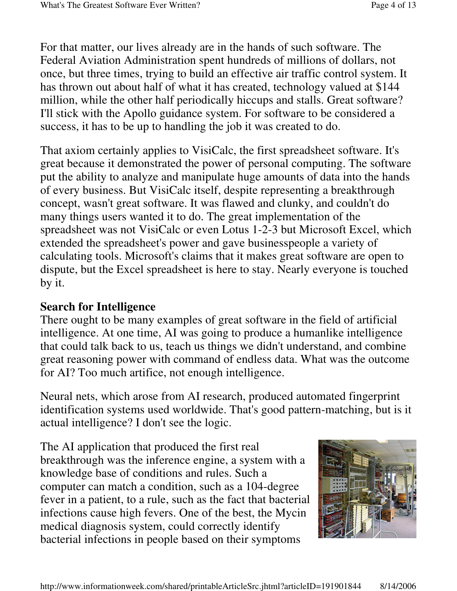For that matter, our lives already are in the hands of such software. The Federal Aviation Administration spent hundreds of millions of dollars, not once, but three times, trying to build an effective air traffic control system. It has thrown out about half of what it has created, technology valued at \$144 million, while the other half periodically hiccups and stalls. Great software? I'll stick with the Apollo guidance system. For software to be considered a success, it has to be up to handling the job it was created to do.

That axiom certainly applies to VisiCalc, the first spreadsheet software. It's great because it demonstrated the power of personal computing. The software put the ability to analyze and manipulate huge amounts of data into the hands of every business. But VisiCalc itself, despite representing a breakthrough concept, wasn't great software. It was flawed and clunky, and couldn't do many things users wanted it to do. The great implementation of the spreadsheet was not VisiCalc or even Lotus 1-2-3 but Microsoft Excel, which extended the spreadsheet's power and gave businesspeople a variety of calculating tools. Microsoft's claims that it makes great software are open to dispute, but the Excel spreadsheet is here to stay. Nearly everyone is touched by it.

## **Search for Intelligence**

There ought to be many examples of great software in the field of artificial intelligence. At one time, AI was going to produce a humanlike intelligence that could talk back to us, teach us things we didn't understand, and combine great reasoning power with command of endless data. What was the outcome for AI? Too much artifice, not enough intelligence.

Neural nets, which arose from AI research, produced automated fingerprint identification systems used worldwide. That's good pattern-matching, but is it actual intelligence? I don't see the logic.

The AI application that produced the first real breakthrough was the inference engine, a system with a knowledge base of conditions and rules. Such a computer can match a condition, such as a 104-degree fever in a patient, to a rule, such as the fact that bacterial infections cause high fevers. One of the best, the Mycin medical diagnosis system, could correctly identify bacterial infections in people based on their symptoms

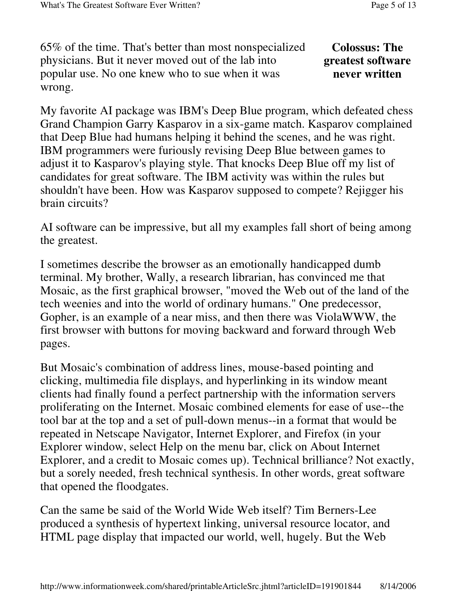65% of the time. That's better than most nonspecialized physicians. But it never moved out of the lab into popular use. No one knew who to sue when it was wrong.

### **Colossus: The greatest software never written**

My favorite AI package was IBM's Deep Blue program, which defeated chess Grand Champion Garry Kasparov in a six-game match. Kasparov complained that Deep Blue had humans helping it behind the scenes, and he was right. IBM programmers were furiously revising Deep Blue between games to adjust it to Kasparov's playing style. That knocks Deep Blue off my list of candidates for great software. The IBM activity was within the rules but shouldn't have been. How was Kasparov supposed to compete? Rejigger his brain circuits?

AI software can be impressive, but all my examples fall short of being among the greatest.

I sometimes describe the browser as an emotionally handicapped dumb terminal. My brother, Wally, a research librarian, has convinced me that Mosaic, as the first graphical browser, "moved the Web out of the land of the tech weenies and into the world of ordinary humans." One predecessor, Gopher, is an example of a near miss, and then there was ViolaWWW, the first browser with buttons for moving backward and forward through Web pages.

But Mosaic's combination of address lines, mouse-based pointing and clicking, multimedia file displays, and hyperlinking in its window meant clients had finally found a perfect partnership with the information servers proliferating on the Internet. Mosaic combined elements for ease of use--the tool bar at the top and a set of pull-down menus--in a format that would be repeated in Netscape Navigator, Internet Explorer, and Firefox (in your Explorer window, select Help on the menu bar, click on About Internet Explorer, and a credit to Mosaic comes up). Technical brilliance? Not exactly, but a sorely needed, fresh technical synthesis. In other words, great software that opened the floodgates.

Can the same be said of the World Wide Web itself? Tim Berners-Lee produced a synthesis of hypertext linking, universal resource locator, and HTML page display that impacted our world, well, hugely. But the Web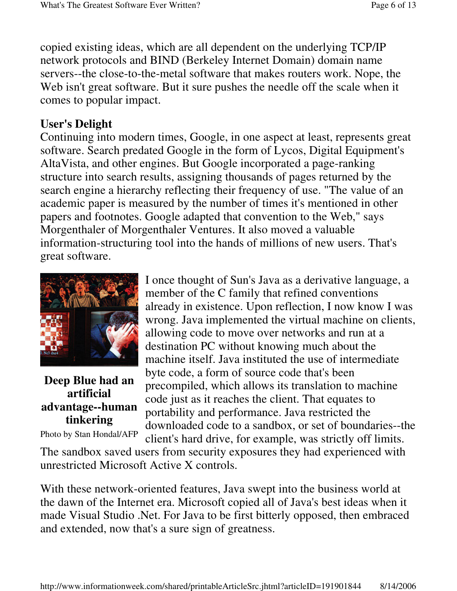copied existing ideas, which are all dependent on the underlying TCP/IP network protocols and BIND (Berkeley Internet Domain) domain name servers--the close-to-the-metal software that makes routers work. Nope, the Web isn't great software. But it sure pushes the needle off the scale when it comes to popular impact.

## **User's Delight**

Continuing into modern times, Google, in one aspect at least, represents great software. Search predated Google in the form of Lycos, Digital Equipment's AltaVista, and other engines. But Google incorporated a page-ranking structure into search results, assigning thousands of pages returned by the search engine a hierarchy reflecting their frequency of use. "The value of an academic paper is measured by the number of times it's mentioned in other papers and footnotes. Google adapted that convention to the Web," says Morgenthaler of Morgenthaler Ventures. It also moved a valuable information-structuring tool into the hands of millions of new users. That's great software.



## **Deep Blue had an artificial advantage--human tinkering**

#### Photo by Stan Hondal/AFP

I once thought of Sun's Java as a derivative language, a member of the C family that refined conventions already in existence. Upon reflection, I now know I was wrong. Java implemented the virtual machine on clients, allowing code to move over networks and run at a destination PC without knowing much about the machine itself. Java instituted the use of intermediate byte code, a form of source code that's been precompiled, which allows its translation to machine code just as it reaches the client. That equates to portability and performance. Java restricted the downloaded code to a sandbox, or set of boundaries--the client's hard drive, for example, was strictly off limits.

The sandbox saved users from security exposures they had experienced with unrestricted Microsoft Active X controls.

With these network-oriented features, Java swept into the business world at the dawn of the Internet era. Microsoft copied all of Java's best ideas when it made Visual Studio .Net. For Java to be first bitterly opposed, then embraced and extended, now that's a sure sign of greatness.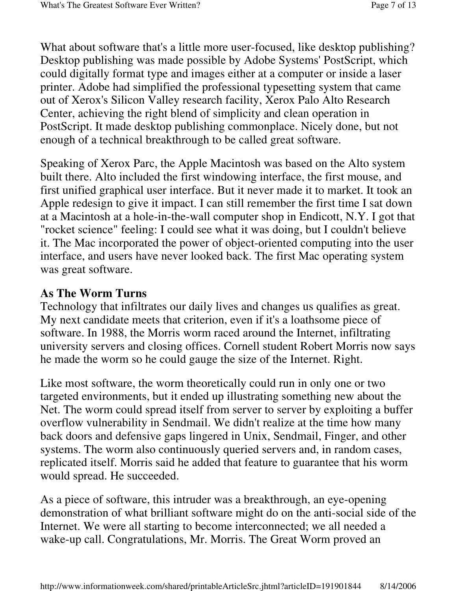What about software that's a little more user-focused, like desktop publishing? Desktop publishing was made possible by Adobe Systems' PostScript, which could digitally format type and images either at a computer or inside a laser printer. Adobe had simplified the professional typesetting system that came out of Xerox's Silicon Valley research facility, Xerox Palo Alto Research Center, achieving the right blend of simplicity and clean operation in PostScript. It made desktop publishing commonplace. Nicely done, but not enough of a technical breakthrough to be called great software.

Speaking of Xerox Parc, the Apple Macintosh was based on the Alto system built there. Alto included the first windowing interface, the first mouse, and first unified graphical user interface. But it never made it to market. It took an Apple redesign to give it impact. I can still remember the first time I sat down at a Macintosh at a hole-in-the-wall computer shop in Endicott, N.Y. I got that "rocket science" feeling: I could see what it was doing, but I couldn't believe it. The Mac incorporated the power of object-oriented computing into the user interface, and users have never looked back. The first Mac operating system was great software.

#### **As The Worm Turns**

Technology that infiltrates our daily lives and changes us qualifies as great. My next candidate meets that criterion, even if it's a loathsome piece of software. In 1988, the Morris worm raced around the Internet, infiltrating university servers and closing offices. Cornell student Robert Morris now says he made the worm so he could gauge the size of the Internet. Right.

Like most software, the worm theoretically could run in only one or two targeted environments, but it ended up illustrating something new about the Net. The worm could spread itself from server to server by exploiting a buffer overflow vulnerability in Sendmail. We didn't realize at the time how many back doors and defensive gaps lingered in Unix, Sendmail, Finger, and other systems. The worm also continuously queried servers and, in random cases, replicated itself. Morris said he added that feature to guarantee that his worm would spread. He succeeded.

As a piece of software, this intruder was a breakthrough, an eye-opening demonstration of what brilliant software might do on the anti-social side of the Internet. We were all starting to become interconnected; we all needed a wake-up call. Congratulations, Mr. Morris. The Great Worm proved an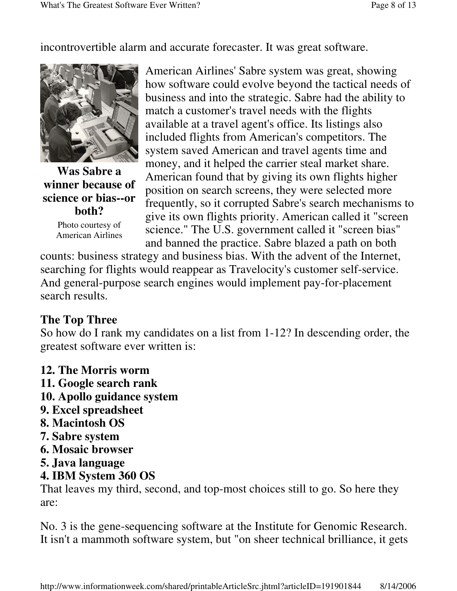incontrovertible alarm and accurate forecaster. It was great software.



**Was Sabre a winner because of science or bias--or both?**

Photo courtesy of American Airlines American Airlines' Sabre system was great, showing how software could evolve beyond the tactical needs of business and into the strategic. Sabre had the ability to match a customer's travel needs with the flights available at a travel agent's office. Its listings also included flights from American's competitors. The system saved American and travel agents time and money, and it helped the carrier steal market share. American found that by giving its own flights higher position on search screens, they were selected more frequently, so it corrupted Sabre's search mechanisms to give its own flights priority. American called it "screen science." The U.S. government called it "screen bias" and banned the practice. Sabre blazed a path on both

counts: business strategy and business bias. With the advent of the Internet, searching for flights would reappear as Travelocity's customer self-service. And general-purpose search engines would implement pay-for-placement search results.

## **The Top Three**

So how do I rank my candidates on a list from 1-12? In descending order, the greatest software ever written is:

- **12. The Morris worm**
- **11. Google search rank**
- **10. Apollo guidance system**
- **9. Excel spreadsheet**
- **8. Macintosh OS**
- **7. Sabre system**
- **6. Mosaic browser**
- **5. Java language**

## **4. IBM System 360 OS**

That leaves my third, second, and top-most choices still to go. So here they are:

No. 3 is the gene-sequencing software at the Institute for Genomic Research. It isn't a mammoth software system, but "on sheer technical brilliance, it gets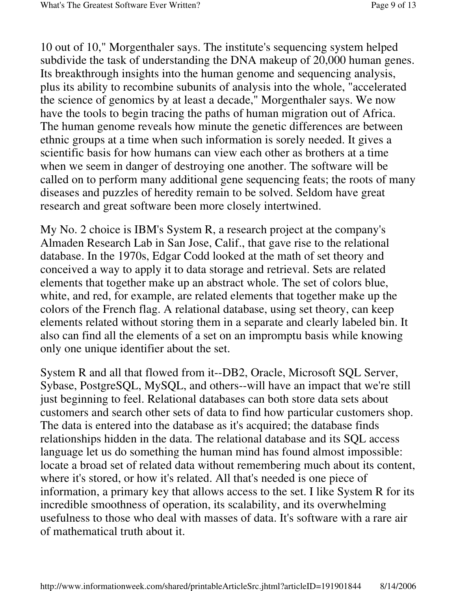10 out of 10," Morgenthaler says. The institute's sequencing system helped subdivide the task of understanding the DNA makeup of 20,000 human genes. Its breakthrough insights into the human genome and sequencing analysis, plus its ability to recombine subunits of analysis into the whole, "accelerated the science of genomics by at least a decade," Morgenthaler says. We now have the tools to begin tracing the paths of human migration out of Africa. The human genome reveals how minute the genetic differences are between ethnic groups at a time when such information is sorely needed. It gives a scientific basis for how humans can view each other as brothers at a time when we seem in danger of destroying one another. The software will be called on to perform many additional gene sequencing feats; the roots of many diseases and puzzles of heredity remain to be solved. Seldom have great research and great software been more closely intertwined.

My No. 2 choice is IBM's System R, a research project at the company's Almaden Research Lab in San Jose, Calif., that gave rise to the relational database. In the 1970s, Edgar Codd looked at the math of set theory and conceived a way to apply it to data storage and retrieval. Sets are related elements that together make up an abstract whole. The set of colors blue, white, and red, for example, are related elements that together make up the colors of the French flag. A relational database, using set theory, can keep elements related without storing them in a separate and clearly labeled bin. It also can find all the elements of a set on an impromptu basis while knowing only one unique identifier about the set.

System R and all that flowed from it--DB2, Oracle, Microsoft SQL Server, Sybase, PostgreSQL, MySQL, and others--will have an impact that we're still just beginning to feel. Relational databases can both store data sets about customers and search other sets of data to find how particular customers shop. The data is entered into the database as it's acquired; the database finds relationships hidden in the data. The relational database and its SQL access language let us do something the human mind has found almost impossible: locate a broad set of related data without remembering much about its content, where it's stored, or how it's related. All that's needed is one piece of information, a primary key that allows access to the set. I like System R for its incredible smoothness of operation, its scalability, and its overwhelming usefulness to those who deal with masses of data. It's software with a rare air of mathematical truth about it.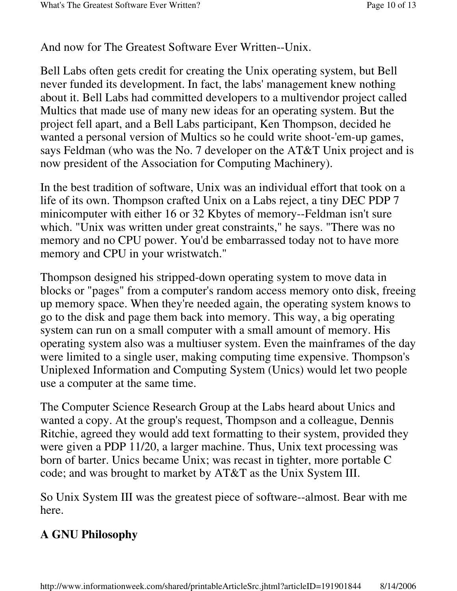And now for The Greatest Software Ever Written--Unix.

Bell Labs often gets credit for creating the Unix operating system, but Bell never funded its development. In fact, the labs' management knew nothing about it. Bell Labs had committed developers to a multivendor project called Multics that made use of many new ideas for an operating system. But the project fell apart, and a Bell Labs participant, Ken Thompson, decided he wanted a personal version of Multics so he could write shoot-'em-up games, says Feldman (who was the No. 7 developer on the AT&T Unix project and is now president of the Association for Computing Machinery).

In the best tradition of software, Unix was an individual effort that took on a life of its own. Thompson crafted Unix on a Labs reject, a tiny DEC PDP 7 minicomputer with either 16 or 32 Kbytes of memory--Feldman isn't sure which. "Unix was written under great constraints," he says. "There was no memory and no CPU power. You'd be embarrassed today not to have more memory and CPU in your wristwatch."

Thompson designed his stripped-down operating system to move data in blocks or "pages" from a computer's random access memory onto disk, freeing up memory space. When they're needed again, the operating system knows to go to the disk and page them back into memory. This way, a big operating system can run on a small computer with a small amount of memory. His operating system also was a multiuser system. Even the mainframes of the day were limited to a single user, making computing time expensive. Thompson's Uniplexed Information and Computing System (Unics) would let two people use a computer at the same time.

The Computer Science Research Group at the Labs heard about Unics and wanted a copy. At the group's request, Thompson and a colleague, Dennis Ritchie, agreed they would add text formatting to their system, provided they were given a PDP 11/20, a larger machine. Thus, Unix text processing was born of barter. Unics became Unix; was recast in tighter, more portable C code; and was brought to market by AT&T as the Unix System III.

So Unix System III was the greatest piece of software--almost. Bear with me here.

## **A GNU Philosophy**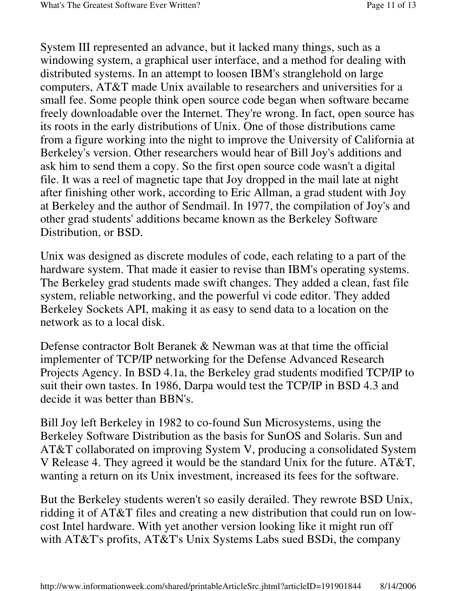System III represented an advance, but it lacked many things, such as a windowing system, a graphical user interface, and a method for dealing with distributed systems. In an attempt to loosen IBM's stranglehold on large computers, AT&T made Unix available to researchers and universities for a small fee. Some people think open source code began when software became freely downloadable over the Internet. They're wrong. In fact, open source has its roots in the early distributions of Unix. One of those distributions came from a figure working into the night to improve the University of California at Berkeley's version. Other researchers would hear of Bill Joy's additions and ask him to send them a copy. So the first open source code wasn't a digital file. It was a reel of magnetic tape that Joy dropped in the mail late at night after finishing other work, according to Eric Allman, a grad student with Joy at Berkeley and the author of Sendmail. In 1977, the compilation of Joy's and other grad students' additions became known as the Berkeley Software Distribution, or BSD.

Unix was designed as discrete modules of code, each relating to a part of the hardware system. That made it easier to revise than IBM's operating systems. The Berkeley grad students made swift changes. They added a clean, fast file system, reliable networking, and the powerful vi code editor. They added Berkeley Sockets API, making it as easy to send data to a location on the network as to a local disk.

Defense contractor Bolt Beranek & Newman was at that time the official implementer of TCP/IP networking for the Defense Advanced Research Projects Agency. In BSD 4.1a, the Berkeley grad students modified TCP/IP to suit their own tastes. In 1986, Darpa would test the TCP/IP in BSD 4.3 and decide it was better than BBN's.

Bill Joy left Berkeley in 1982 to co-found Sun Microsystems, using the Berkeley Software Distribution as the basis for SunOS and Solaris. Sun and AT&T collaborated on improving System V, producing a consolidated System V Release 4. They agreed it would be the standard Unix for the future. AT&T, wanting a return on its Unix investment, increased its fees for the software.

But the Berkeley students weren't so easily derailed. They rewrote BSD Unix, ridding it of AT&T files and creating a new distribution that could run on lowcost Intel hardware. With yet another version looking like it might run off with AT&T's profits, AT&T's Unix Systems Labs sued BSDi, the company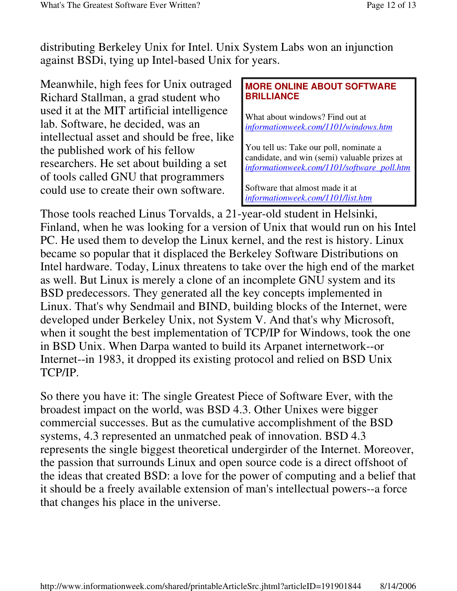distributing Berkeley Unix for Intel. Unix System Labs won an injunction against BSDi, tying up Intel-based Unix for years.

Meanwhile, high fees for Unix outraged Richard Stallman, a grad student who used it at the MIT artificial intelligence lab. Software, he decided, was an intellectual asset and should be free, like the published work of his fellow researchers. He set about building a set of tools called GNU that programmers could use to create their own software.

#### **MORE ONLINE ABOUT SOFTWARE BRILLIANCE**

What about windows? Find out at *informationweek.com/1101/windows.htm*

You tell us: Take our poll, nominate a candidate, and win (semi) valuable prizes at *informationweek.com/1101/software\_poll.htm*

Software that almost made it at *informationweek.com/1101/list.htm*

Those tools reached Linus Torvalds, a 21-year-old student in Helsinki, Finland, when he was looking for a version of Unix that would run on his Intel PC. He used them to develop the Linux kernel, and the rest is history. Linux became so popular that it displaced the Berkeley Software Distributions on Intel hardware. Today, Linux threatens to take over the high end of the market as well. But Linux is merely a clone of an incomplete GNU system and its BSD predecessors. They generated all the key concepts implemented in Linux. That's why Sendmail and BIND, building blocks of the Internet, were developed under Berkeley Unix, not System V. And that's why Microsoft, when it sought the best implementation of TCP/IP for Windows, took the one in BSD Unix. When Darpa wanted to build its Arpanet internetwork--or Internet--in 1983, it dropped its existing protocol and relied on BSD Unix TCP/IP.

So there you have it: The single Greatest Piece of Software Ever, with the broadest impact on the world, was BSD 4.3. Other Unixes were bigger commercial successes. But as the cumulative accomplishment of the BSD systems, 4.3 represented an unmatched peak of innovation. BSD 4.3 represents the single biggest theoretical undergirder of the Internet. Moreover, the passion that surrounds Linux and open source code is a direct offshoot of the ideas that created BSD: a love for the power of computing and a belief that it should be a freely available extension of man's intellectual powers--a force that changes his place in the universe.